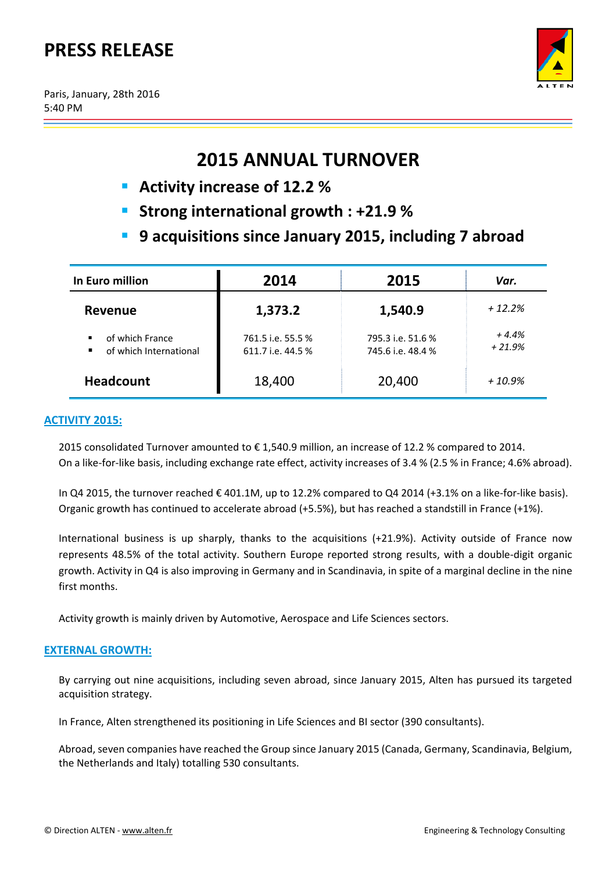# **PRESS RELEASE**

Paris, January, 28th 2016 5:40 PM



# **2015 ANNUAL TURNOVER**

- **Activity increase of 12.2 %**
- **Strong international growth : +21.9 %**
- **9 acquisitions since January 2015, including 7 abroad**

| In Euro million                           | 2014                                   | 2015                                   | Var.                |
|-------------------------------------------|----------------------------------------|----------------------------------------|---------------------|
| Revenue                                   | 1,373.2                                | 1,540.9                                | $+12.2%$            |
| of which France<br>of which International | 761.5 i.e. 55.5 %<br>611.7 i.e. 44.5 % | 795.3 i.e. 51.6 %<br>745.6 i.e. 48.4 % | $+4.4%$<br>$+21.9%$ |
| <b>Headcount</b>                          | 18,400                                 | 20,400                                 | $+10.9%$            |

# **ACTIVITY 2015:**

2015 consolidated Turnover amounted to € 1,540.9 million, an increase of 12.2 % compared to 2014. On a like-for-like basis, including exchange rate effect, activity increases of 3.4 % (2.5 % in France; 4.6% abroad).

In Q4 2015, the turnover reached € 401.1M, up to 12.2% compared to Q4 2014 (+3.1% on a like‐for‐like basis). Organic growth has continued to accelerate abroad (+5.5%), but has reached a standstill in France (+1%).

International business is up sharply, thanks to the acquisitions (+21.9%). Activity outside of France now represents 48.5% of the total activity. Southern Europe reported strong results, with a double‐digit organic growth. Activity in Q4 is also improving in Germany and in Scandinavia, in spite of a marginal decline in the nine first months.

Activity growth is mainly driven by Automotive, Aerospace and Life Sciences sectors.

## **EXTERNAL GROWTH:**

By carrying out nine acquisitions, including seven abroad, since January 2015, Alten has pursued its targeted acquisition strategy.

In France, Alten strengthened its positioning in Life Sciences and BI sector (390 consultants).

Abroad, seven companies have reached the Group since January 2015 (Canada, Germany, Scandinavia, Belgium, the Netherlands and Italy) totalling 530 consultants.